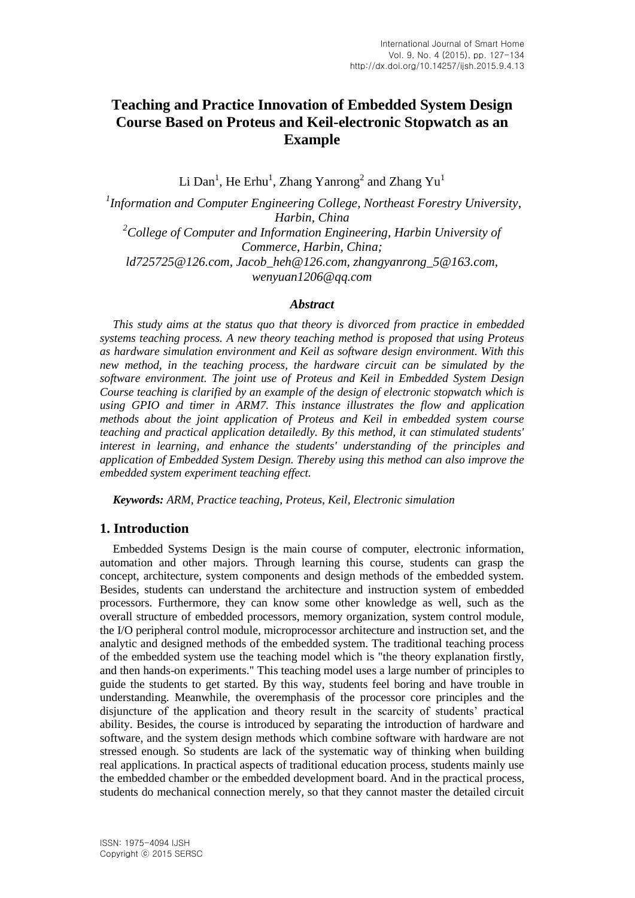# **Teaching and Practice Innovation of Embedded System Design Course Based on Proteus and Keil-electronic Stopwatch as an Example**

Li Dan<sup>1</sup>, He Erhu<sup>1</sup>, Zhang Yanrong<sup>2</sup> and Zhang Yu<sup>1</sup>

<sup>1</sup>Information and Computer Engineering College, Northeast Forestry University, *Harbin, China <sup>2</sup>College of Computer and Information Engineering, Harbin University of Commerce, Harbin, China; ld725725@126.com, Jacob\_heh@126.com, zhangyanrong\_5@163.com, wenyuan1206@qq.com*

#### *Abstract*

*This study aims at the status quo that theory is divorced from practice in embedded systems teaching process. A new theory teaching method is proposed that using Proteus as hardware simulation environment and Keil as software design environment. With this new method, in the teaching process, the hardware circuit can be simulated by the software environment. The joint use of Proteus and Keil in Embedded System Design Course teaching is clarified by an example of the design of electronic stopwatch which is using GPIO and timer in ARM7. This instance illustrates the flow and application methods about the joint application of Proteus and Keil in embedded system course teaching and practical application detailedly. By this method, it can stimulated students' interest in learning, and enhance the students' understanding of the principles and application of Embedded System Design. Thereby using this method can also improve the embedded system experiment teaching effect.* 

*Keywords: ARM, Practice teaching, Proteus, Keil, Electronic simulation*

#### **1. Introduction**

Embedded Systems Design is the main course of computer, electronic information, automation and other majors. Through learning this course, students can grasp the concept, architecture, system components and design methods of the embedded system. Besides, students can understand the architecture and instruction system of embedded processors. Furthermore, they can know some other knowledge as well, such as the overall structure of embedded processors, memory organization, system control module, the I/O peripheral control module, microprocessor architecture and instruction set, and the analytic and designed methods of the embedded system. The traditional teaching process of the embedded system use the teaching model which is "the theory explanation firstly, and then hands-on experiments." This teaching model uses a large number of principles to guide the students to get started. By this way, students feel boring and have trouble in understanding. Meanwhile, the overemphasis of the processor core principles and the disjuncture of the application and theory result in the scarcity of students' practical ability. Besides, the course is introduced by separating the introduction of hardware and software, and the system design methods which combine software with hardware are not stressed enough. So students are lack of the systematic way of thinking when building real applications. In practical aspects of traditional education process, students mainly use the embedded chamber or the embedded development board. And in the practical process, students do mechanical connection merely, so that they cannot master the detailed circuit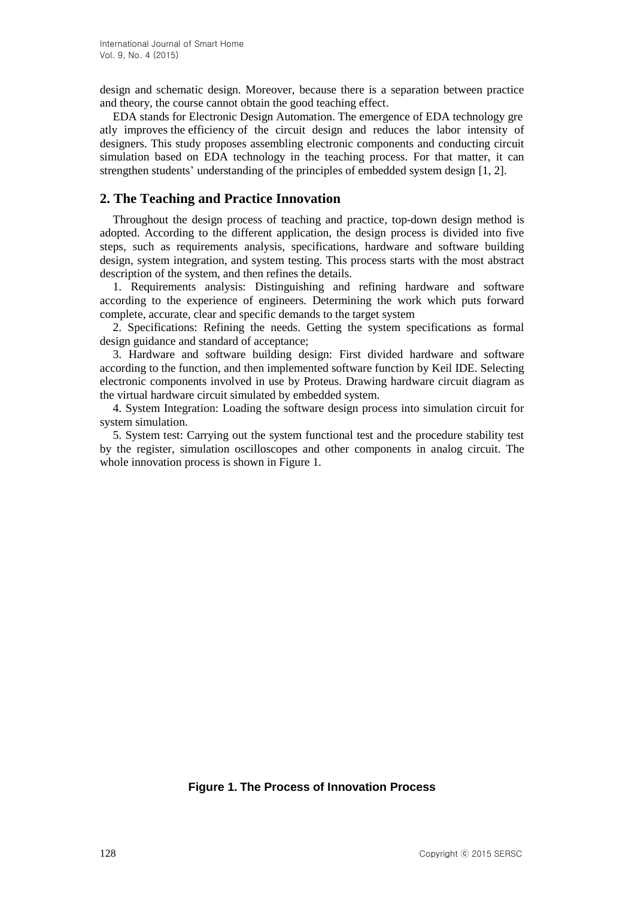design and schematic design. Moreover, because there is a separation between practice and theory, the course cannot obtain the good teaching effect.

EDA stands for Electronic Design Automation. The emergence of EDA technology gre atly improves the efficiency of the circuit design and reduces the labor intensity of designers. This study proposes assembling electronic components and conducting circuit simulation based on EDA technology in the teaching process. For that matter, it can strengthen students' understanding of the principles of embedded system design [1, 2].

### **2. The Teaching and Practice Innovation**

Throughout the design process of teaching and practice, top-down design method is adopted. According to the different application, the design process is divided into five steps, such as requirements analysis, specifications, hardware and software building design, system integration, and system testing. This process starts with the most abstract description of the system, and then refines the details.

1. Requirements analysis: Distinguishing and refining hardware and software according to the experience of engineers. Determining the work which puts forward complete, accurate, clear and specific demands to the target system

2. Specifications: Refining the needs. Getting the system specifications as formal design guidance and standard of acceptance;

3. Hardware and software building design: First divided hardware and software according to the function, and then implemented software function by Keil IDE. Selecting electronic components involved in use by Proteus. Drawing hardware circuit diagram as the virtual hardware circuit simulated by embedded system.

4. System Integration: Loading the software design process into simulation circuit for system simulation.

5. System test: Carrying out the system functional test and the procedure stability test by the register, simulation oscilloscopes and other components in analog circuit. The whole innovation process is shown in Figure 1.

**Figure 1. The Process of Innovation Process**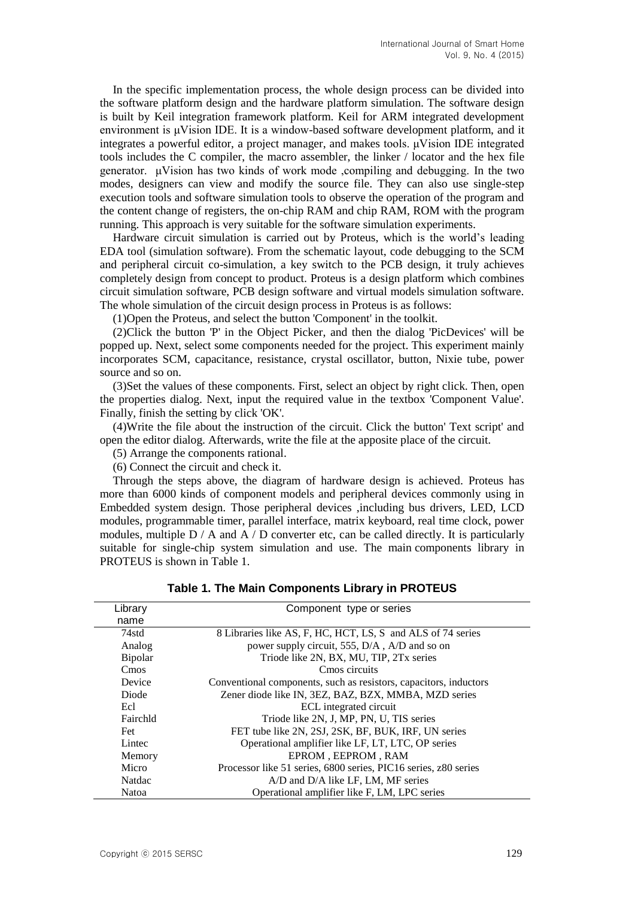In the specific implementation process, the whole design process can be divided into the software platform design and the hardware platform simulation. The software design is built by Keil integration framework platform. Keil for ARM integrated development environment is μVision IDE. It is a window-based software development platform, and it integrates a powerful editor, a project manager, and makes tools. μVision IDE integrated tools includes the C compiler, the macro assembler, the linker / locator and the hex file generator. μVision has two kinds of work mode ,compiling and debugging. In the two modes, designers can view and modify the source file. They can also use single-step execution tools and software simulation tools to observe the operation of the program and the content change of registers, the on-chip RAM and chip RAM, ROM with the program running. This approach is very suitable for the software simulation experiments.

Hardware circuit simulation is carried out by Proteus, which is the world's leading EDA tool (simulation software). From the schematic layout, code debugging to the SCM and peripheral circuit co-simulation, a key switch to the PCB design, it truly achieves completely design from concept to product. Proteus is a design platform which combines circuit simulation software, PCB design software and virtual models simulation software. The whole simulation of the circuit design process in Proteus is as follows:

(1)Open the Proteus, and select the button 'Component' in the toolkit.

(2)Click the button 'P' in the Object Picker, and then the dialog 'PicDevices' will be popped up. Next, select some components needed for the project. This experiment mainly incorporates SCM, capacitance, resistance, crystal oscillator, button, Nixie tube, power source and so on.

(3)Set the values of these components. First, select an object by right click. Then, open the properties dialog. Next, input the required value in the textbox 'Component Value'. Finally, finish the setting by click 'OK'.

(4)Write the file about the instruction of the circuit. Click the button' Text script' and open the editor dialog. Afterwards, write the file at the apposite place of the circuit.

(5) Arrange the components rational.

(6) Connect the circuit and check it.

Through the steps above, the diagram of hardware design is achieved. Proteus has more than 6000 kinds of component models and peripheral devices commonly using in Embedded system design. Those peripheral devices ,including bus drivers, LED, LCD modules, programmable timer, parallel interface, matrix keyboard, real time clock, power modules, multiple  $D / A$  and  $A / D$  converter etc, can be called directly. It is particularly suitable for single-chip system simulation and use. The main components library in PROTEUS is shown in Table 1.

| Library        | Component type or series                                          |
|----------------|-------------------------------------------------------------------|
| name           |                                                                   |
| 74std          | 8 Libraries like AS, F, HC, HCT, LS, S and ALS of 74 series       |
| Analog         | power supply circuit, 555, D/A, A/D and so on                     |
| <b>Bipolar</b> | Triode like 2N, BX, MU, TIP, 2Tx series                           |
| Cmos           | Cmos circuits                                                     |
| Device         | Conventional components, such as resistors, capacitors, inductors |
| Diode          | Zener diode like IN, 3EZ, BAZ, BZX, MMBA, MZD series              |
| Ecl            | ECL integrated circuit                                            |
| Fairchld       | Triode like 2N, J, MP, PN, U, TIS series                          |
| Fet            | FET tube like 2N, 2SJ, 2SK, BF, BUK, IRF, UN series               |
| Lintec         | Operational amplifier like LF, LT, LTC, OP series                 |
| Memory         | EPROM, EEPROM, RAM                                                |
| Micro          | Processor like 51 series, 6800 series, PIC16 series, z80 series   |
| Natdac         | A/D and D/A like LF, LM, MF series                                |
| Natoa          | Operational amplifier like F, LM, LPC series                      |

**Table 1. The Main Components Library in PROTEUS**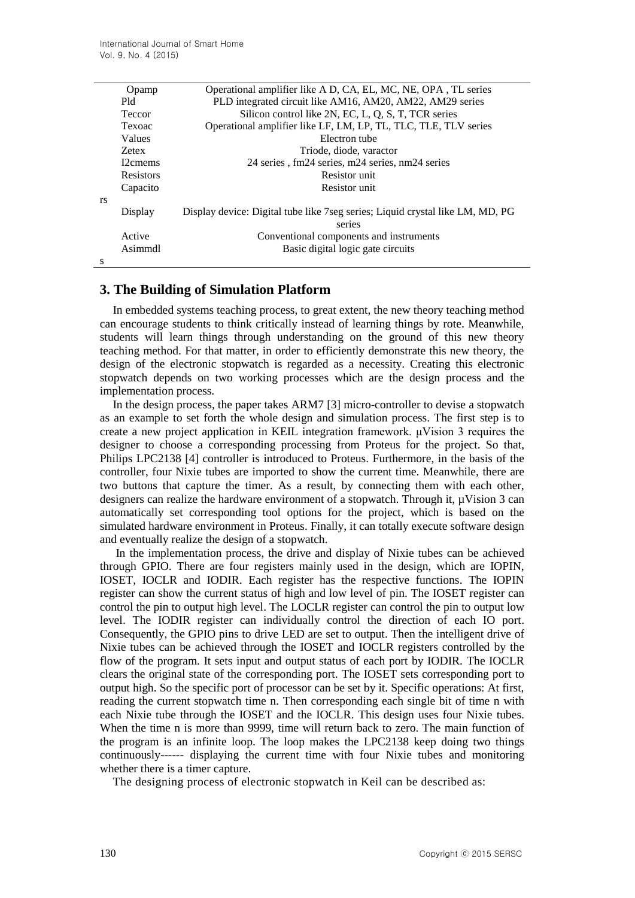|     | Opamp            | Operational amplifier like A D, CA, EL, MC, NE, OPA, TL series                |  |
|-----|------------------|-------------------------------------------------------------------------------|--|
|     | Pld              | PLD integrated circuit like AM16, AM20, AM22, AM29 series                     |  |
|     | Teccor           | Silicon control like 2N, EC, L, Q, S, T, TCR series                           |  |
|     | Texoac           | Operational amplifier like LF, LM, LP, TL, TLC, TLE, TLV series               |  |
|     | Values           | Electron tube                                                                 |  |
|     | Zetex            | Triode, diode, varactor                                                       |  |
|     | I2cmems          | 24 series, fm24 series, m24 series, nm24 series                               |  |
|     | <b>Resistors</b> | Resistor unit                                                                 |  |
|     | Capacito         | Resistor unit                                                                 |  |
| rs. |                  |                                                                               |  |
|     | Display          | Display device: Digital tube like 7seg series; Liquid crystal like LM, MD, PG |  |
|     |                  | series                                                                        |  |
|     | Active           | Conventional components and instruments                                       |  |
|     | Asimmdl          | Basic digital logic gate circuits                                             |  |
| S   |                  |                                                                               |  |

**3. The Building of Simulation Platform**

In embedded systems teaching process, to great extent, the new theory teaching method can encourage students to think critically instead of learning things by rote. Meanwhile, students will learn things through understanding on the ground of this new theory teaching method. For that matter, in order to efficiently demonstrate this new theory, the design of the electronic stopwatch is regarded as a necessity. Creating this electronic stopwatch depends on two working processes which are the design process and the implementation process.

In the design process, the paper takes ARM7 [3] micro-controller to devise a stopwatch as an example to set forth the whole design and simulation process. The first step is to create a new project application in KEIL integration framework. μVision 3 requires the designer to choose a corresponding processing from Proteus for the project. So that, Philips LPC2138 [4] controller is introduced to Proteus. Furthermore, in the basis of the controller, four Nixie tubes are imported to show the current time. Meanwhile, there are two buttons that capture the timer. As a result, by connecting them with each other, designers can realize the hardware environment of a stopwatch. Through it,  $\mu$ Vision 3 can automatically set corresponding tool options for the project, which is based on the simulated hardware environment in Proteus. Finally, it can totally execute software design and eventually realize the design of a stopwatch.

In the implementation process, the drive and display of Nixie tubes can be achieved through GPIO. There are four registers mainly used in the design, which are IOPIN, IOSET, IOCLR and IODIR. Each register has the respective functions. The IOPIN register can show the current status of high and low level of pin. The IOSET register can control the pin to output high level. The LOCLR register can control the pin to output low level. The IODIR register can individually control the direction of each IO port. Consequently, the GPIO pins to drive LED are set to output. Then the intelligent drive of Nixie tubes can be achieved through the IOSET and IOCLR registers controlled by the flow of the program. It sets input and output status of each port by IODIR. The IOCLR clears the original state of the corresponding port. The IOSET sets corresponding port to output high. So the specific port of processor can be set by it. Specific operations: At first, reading the current stopwatch time n. Then corresponding each single bit of time n with each Nixie tube through the IOSET and the IOCLR. This design uses four Nixie tubes. When the time n is more than 9999, time will return back to zero. The main function of the program is an infinite loop. The loop makes the LPC2138 keep doing two things continuously------ displaying the current time with four Nixie tubes and monitoring whether there is a timer capture.

The designing process of electronic stopwatch in Keil can be described as: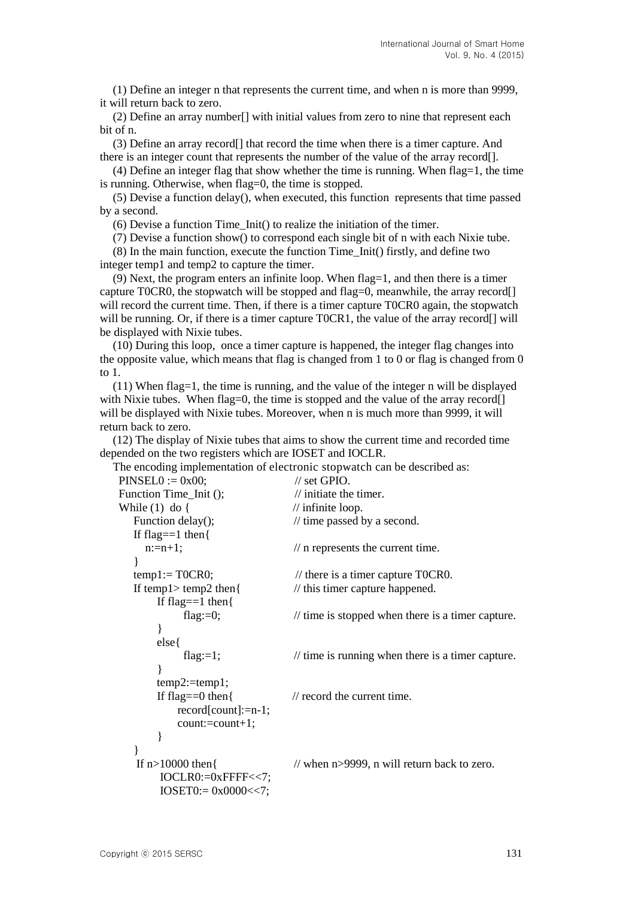(1) Define an integer n that represents the current time, and when n is more than 9999, it will return back to zero.

(2) Define an array number[] with initial values from zero to nine that represent each bit of n.

(3) Define an array record[] that record the time when there is a timer capture. And there is an integer count that represents the number of the value of the array record[].

(4) Define an integer flag that show whether the time is running. When  $flag=1$ , the time is running. Otherwise, when flag=0, the time is stopped.

(5) Devise a function delay(), when executed, this function represents that time passed by a second.

(6) Devise a function Time\_Init() to realize the initiation of the timer.

(7) Devise a function show() to correspond each single bit of n with each Nixie tube.

(8) In the main function, execute the function Time\_Init() firstly, and define two integer temp1 and temp2 to capture the timer.

(9) Next, the program enters an infinite loop. When flag=1, and then there is a timer capture T0CR0, the stopwatch will be stopped and flag=0, meanwhile, the array record $[$ ] will record the current time. Then, if there is a timer capture TOCRO again, the stopwatch will be running. Or, if there is a timer capture T0CR1, the value of the array record[] will be displayed with Nixie tubes.

(10) During this loop, once a timer capture is happened, the integer flag changes into the opposite value, which means that flag is changed from 1 to 0 or flag is changed from 0 to 1.

 $(11)$  When flag=1, the time is running, and the value of the integer n will be displayed with Nixie tubes. When flag=0, the time is stopped and the value of the array record $[$ ] will be displayed with Nixie tubes. Moreover, when n is much more than 9999, it will return back to zero.

(12) The display of Nixie tubes that aims to show the current time and recorded time depended on the two registers which are IOSET and IOCLR.

The encoding implementation of electronic stopwatch can be described as:

| $PINSEL0 := 0x00;$        | $\frac{1}{2}$ set GPIO.                                      |
|---------------------------|--------------------------------------------------------------|
| Function Time_Init ();    | $\frac{1}{1}$ initiate the timer.                            |
| While $(1)$ do {          | $\frac{1}{2}$ infinite loop.                                 |
| Function delay();         | // time passed by a second.                                  |
| If flag== $1$ then $\{$   |                                                              |
| $n:=n+1;$                 | $\frac{1}{\pi}$ is represents the current time.              |
|                           |                                                              |
| $temp1 := TOCR0;$         | $\frac{1}{2}$ there is a timer capture TOCRO.                |
| If temp1> temp2 then $\{$ | $\frac{1}{\pi}$ this timer capture happened.                 |
| If flag== $1$ then $\{$   |                                                              |
| flag:= $0$ ;              | $\frac{1}{1}$ time is stopped when there is a timer capture. |
| }                         |                                                              |
| else{                     |                                                              |
| flag: $=1$ ;              | $\frac{1}{1}$ time is running when there is a timer capture. |
|                           |                                                              |
| $temp2:=temp1;$           |                                                              |
| If flag== $0$ then {      | $\frac{1}{2}$ record the current time.                       |
| $record[count] := n-1;$   |                                                              |
| count:=count+1;           |                                                              |
|                           |                                                              |
|                           |                                                              |
| If $n>10000$ then {       | // when n>9999, n will return back to zero.                  |
| $IOCLR0:=0xFFFF<<7;$      |                                                              |
| $IOSET0 := 0x0000 << 7;$  |                                                              |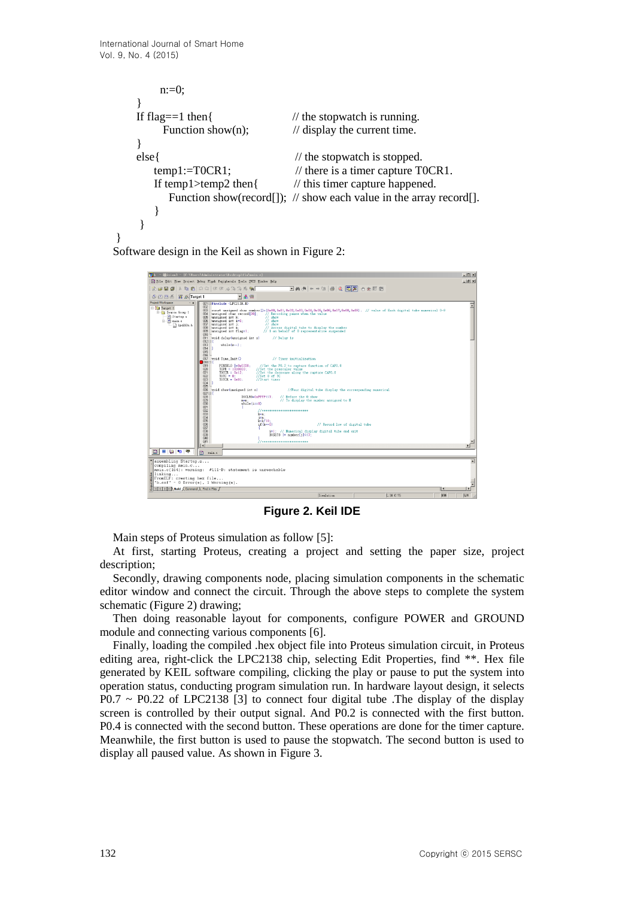}

```
n:=0:
 }
If fla \underline{e} = 1 then \left\{ \right. // the stopwatch is running.
     Function show(n); \frac{1}{2} // display the current time.
 }
else { // the stopwatch is stopped.
   temp1:=T0CR1; // there is a timer capture T0CR1.
    If temp1>temp2 then{ // this timer capture happened.
      Function show(record[]); // show each value in the array record[].
    } 
 }
```
Software design in the Keil as shown in Figure 2:



**Figure 2. Keil IDE**

Main steps of Proteus simulation as follow [5]:

At first, starting Proteus, creating a project and setting the paper size, project description;

Secondly, drawing components node, placing simulation components in the schematic editor window and connect the circuit. Through the above steps to complete the system schematic (Figure 2) drawing;

Then doing reasonable layout for components, configure POWER and GROUND module and connecting various components [6].

Finally, loading the compiled .hex object file into Proteus simulation circuit, in Proteus editing area, right-click the LPC2138 chip, selecting Edit Properties, find \*\*. Hex file generated by KEIL software compiling, clicking the play or pause to put the system into operation status, conducting program simulation run. In hardware layout design, it selects  $P0.7 \sim P0.22$  of LPC2138 [3] to connect four digital tube. The display of the display screen is controlled by their output signal. And P0.2 is connected with the first button. P0.4 is connected with the second button. These operations are done for the timer capture. Meanwhile, the first button is used to pause the stopwatch. The second button is used to display all paused value. As shown in Figure 3.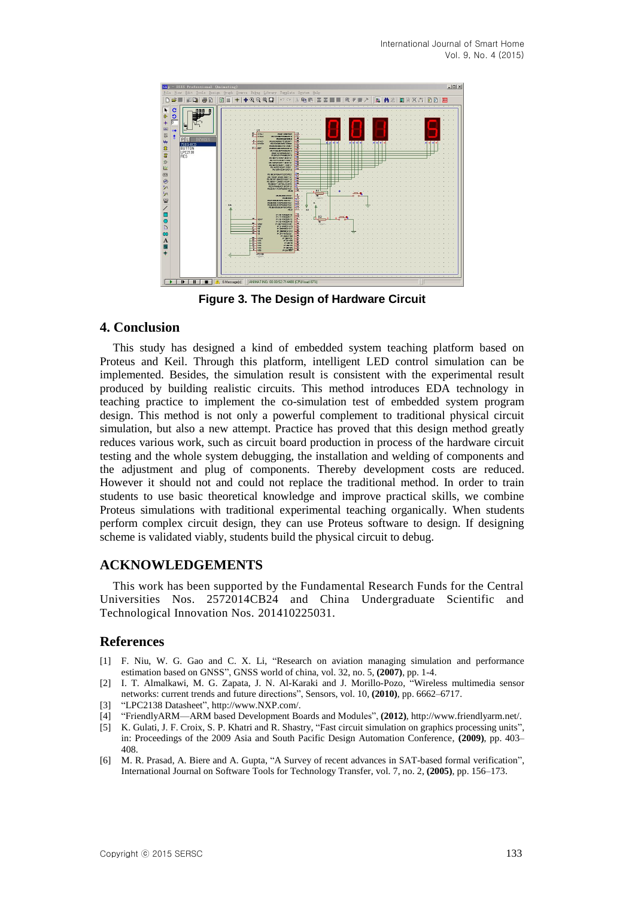

**Figure 3. The Design of Hardware Circuit**

#### **4. Conclusion**

This study has designed a kind of embedded system teaching platform based on Proteus and Keil. Through this platform, intelligent LED control simulation can be implemented. Besides, the simulation result is consistent with the experimental result produced by building realistic circuits. This method introduces EDA technology in teaching practice to implement the co-simulation test of embedded system program design. This method is not only a powerful complement to traditional physical circuit simulation, but also a new attempt. Practice has proved that this design method greatly reduces various work, such as circuit board production in process of the hardware circuit testing and the whole system debugging, the installation and welding of components and the adjustment and plug of components. Thereby development costs are reduced. However it should not and could not replace the traditional method. In order to train students to use basic theoretical knowledge and improve practical skills, we combine Proteus simulations with traditional experimental teaching organically. When students perform complex circuit design, they can use Proteus software to design. If designing scheme is validated viably, students build the physical circuit to debug.

#### **ACKNOWLEDGEMENTS**

This work has been supported by the Fundamental Research Funds for the Central Universities Nos. 2572014CB24 and China Undergraduate Scientific and Technological Innovation Nos. 201410225031.

#### **References**

- [1] F. Niu, W. G. Gao and C. X. Li, "Research on aviation managing simulation and performance estimation based on GNSS", GNSS world of china, vol. 32, no. 5, **(2007)**, pp. 1-4.
- [2] I. T. Almalkawi, M. G. Zapata, J. N. Al-Karaki and J. Morillo-Pozo, "Wireless multimedia sensor networks: current trends and future directions", Sensors, vol. 10, **(2010)**, pp. 6662–6717.
- [3] "LPC2138 Datasheet", [http://www.NXP.com/.](http://www.nxp.com/)
- [4] "FriendlyARM—ARM based Development Boards and Modules", **(2012)**, http://www.friendlyarm.net/.
- [5] K. Gulati, J. F. Croix, S. P. Khatri and R. Shastry, "Fast circuit simulation on graphics processing units", in: Proceedings of the 2009 Asia and South Pacific Design Automation Conference, **(2009)**, pp. 403– 408.
- [6] M. R. Prasad, A. Biere and A. Gupta, "A Survey of recent advances in SAT-based formal verification", International Journal on Software Tools for Technology Transfer, vol. 7, no. 2, **(2005)**, pp. 156–173.